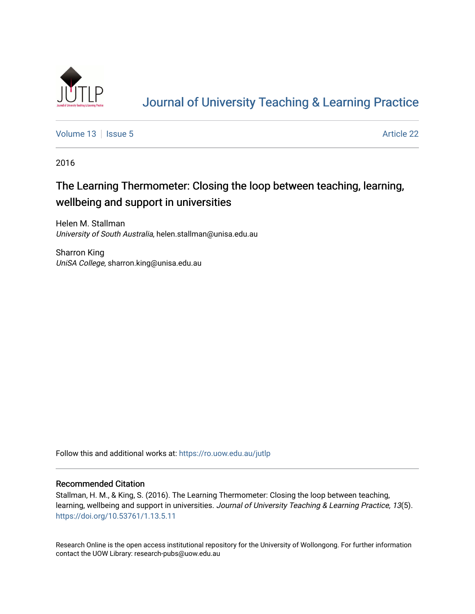

# [Journal of University Teaching & Learning Practice](https://ro.uow.edu.au/jutlp)

[Volume 13](https://ro.uow.edu.au/jutlp/vol13) | [Issue 5](https://ro.uow.edu.au/jutlp/vol13/iss5) Article 22

2016

# The Learning Thermometer: Closing the loop between teaching, learning, wellbeing and support in universities

Helen M. Stallman University of South Australia, helen.stallman@unisa.edu.au

Sharron King UniSA College, sharron.king@unisa.edu.au

Follow this and additional works at: [https://ro.uow.edu.au/jutlp](https://ro.uow.edu.au/jutlp?utm_source=ro.uow.edu.au%2Fjutlp%2Fvol13%2Fiss5%2F22&utm_medium=PDF&utm_campaign=PDFCoverPages) 

### Recommended Citation

Stallman, H. M., & King, S. (2016). The Learning Thermometer: Closing the loop between teaching, learning, wellbeing and support in universities. Journal of University Teaching & Learning Practice, 13(5). <https://doi.org/10.53761/1.13.5.11>

Research Online is the open access institutional repository for the University of Wollongong. For further information contact the UOW Library: research-pubs@uow.edu.au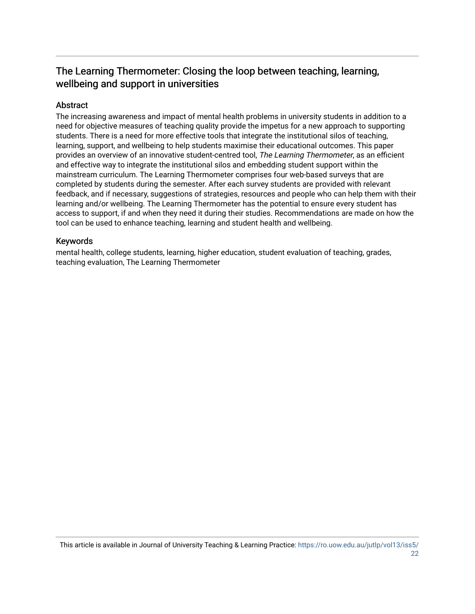# The Learning Thermometer: Closing the loop between teaching, learning, wellbeing and support in universities

# Abstract

The increasing awareness and impact of mental health problems in university students in addition to a need for objective measures of teaching quality provide the impetus for a new approach to supporting students. There is a need for more effective tools that integrate the institutional silos of teaching, learning, support, and wellbeing to help students maximise their educational outcomes. This paper provides an overview of an innovative student-centred tool, The Learning Thermometer, as an efficient and effective way to integrate the institutional silos and embedding student support within the mainstream curriculum. The Learning Thermometer comprises four web-based surveys that are completed by students during the semester. After each survey students are provided with relevant feedback, and if necessary, suggestions of strategies, resources and people who can help them with their learning and/or wellbeing. The Learning Thermometer has the potential to ensure every student has access to support, if and when they need it during their studies. Recommendations are made on how the tool can be used to enhance teaching, learning and student health and wellbeing.

# Keywords

mental health, college students, learning, higher education, student evaluation of teaching, grades, teaching evaluation, The Learning Thermometer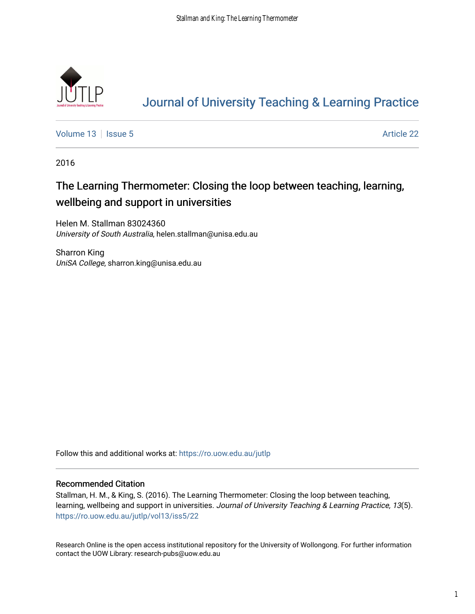

# [Journal of University Teaching & Learning Practice](https://ro.uow.edu.au/jutlp)

[Volume 13](https://ro.uow.edu.au/jutlp/vol13) | [Issue 5](https://ro.uow.edu.au/jutlp/vol13/iss5) Article 22

2016

# The Learning Thermometer: Closing the loop between teaching, learning, wellbeing and support in universities

Helen M. Stallman 83024360 University of South Australia, helen.stallman@unisa.edu.au

Sharron King UniSA College, sharron.king@unisa.edu.au

Follow this and additional works at: [https://ro.uow.edu.au/jutlp](https://ro.uow.edu.au/jutlp?utm_source=ro.uow.edu.au%2Fjutlp%2Fvol13%2Fiss5%2F22&utm_medium=PDF&utm_campaign=PDFCoverPages) 

### Recommended Citation

Stallman, H. M., & King, S. (2016). The Learning Thermometer: Closing the loop between teaching, learning, wellbeing and support in universities. Journal of University Teaching & Learning Practice, 13(5). [https://ro.uow.edu.au/jutlp/vol13/iss5/22](https://ro.uow.edu.au/jutlp/vol13/iss5/22?utm_source=ro.uow.edu.au%2Fjutlp%2Fvol13%2Fiss5%2F22&utm_medium=PDF&utm_campaign=PDFCoverPages)

Research Online is the open access institutional repository for the University of Wollongong. For further information contact the UOW Library: research-pubs@uow.edu.au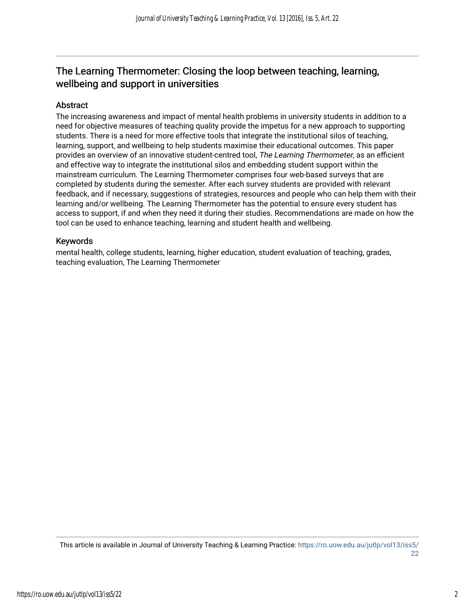# The Learning Thermometer: Closing the loop between teaching, learning, wellbeing and support in universities

# Abstract

The increasing awareness and impact of mental health problems in university students in addition to a need for objective measures of teaching quality provide the impetus for a new approach to supporting students. There is a need for more effective tools that integrate the institutional silos of teaching, learning, support, and wellbeing to help students maximise their educational outcomes. This paper provides an overview of an innovative student-centred tool, The Learning Thermometer, as an efficient and effective way to integrate the institutional silos and embedding student support within the mainstream curriculum. The Learning Thermometer comprises four web-based surveys that are completed by students during the semester. After each survey students are provided with relevant feedback, and if necessary, suggestions of strategies, resources and people who can help them with their learning and/or wellbeing. The Learning Thermometer has the potential to ensure every student has access to support, if and when they need it during their studies. Recommendations are made on how the tool can be used to enhance teaching, learning and student health and wellbeing.

# Keywords

mental health, college students, learning, higher education, student evaluation of teaching, grades, teaching evaluation, The Learning Thermometer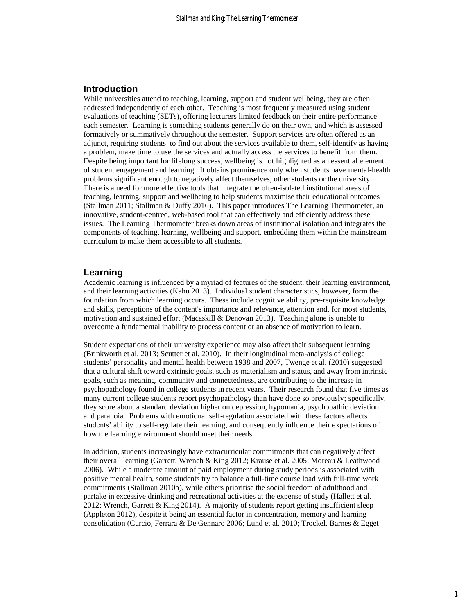### **Introduction**

While universities attend to teaching, learning, support and student wellbeing, they are often addressed independently of each other. Teaching is most frequently measured using student evaluations of teaching (SETs), offering lecturers limited feedback on their entire performance each semester. Learning is something students generally do on their own, and which is assessed formatively or summatively throughout the semester. Support services are often offered as an adjunct, requiring students to find out about the services available to them, self-identify as having a problem, make time to use the services and actually access the services to benefit from them. Despite being important for lifelong success, wellbeing is not highlighted as an essential element of student engagement and learning. It obtains prominence only when students have mental-health problems significant enough to negatively affect themselves, other students or the university. There is a need for more effective tools that integrate the often-isolated institutional areas of teaching, learning, support and wellbeing to help students maximise their educational outcomes [\(Stallman 2011;](#page-13-0) [Stallman & Duffy 2016\)](#page-13-1). This paper introduces The Learning Thermometer, an innovative, student-centred, web-based tool that can effectively and efficiently address these issues. The Learning Thermometer breaks down areas of institutional isolation and integrates the components of teaching, learning, wellbeing and support, embedding them within the mainstream curriculum to make them accessible to all students.

### **Learning**

Academic learning is influenced by a myriad of features of the student, their learning environment, and their learning activities [\(Kahu 2013\)](#page-12-0). Individual student characteristics, however, form the foundation from which learning occurs. These include cognitive ability, pre-requisite knowledge and skills, perceptions of the content's importance and relevance, attention and, for most students, motivation and sustained effort [\(Macaskill & Denovan 2013\)](#page-13-2). Teaching alone is unable to overcome a fundamental inability to process content or an absence of motivation to learn.

Student expectations of their university experience may also affect their subsequent learning [\(Brinkworth et al. 2013;](#page-12-1) [Scutter et al. 2010\)](#page-13-3). In their longitudinal meta-analysis of college students' personality and mental health between 1938 and 2007, Twenge et al. [\(2010\)](#page-14-0) suggested that a cultural shift toward extrinsic goals, such as materialism and status, and away from intrinsic goals, such as meaning, community and connectedness, are contributing to the increase in psychopathology found in college students in recent years. Their research found that five times as many current college students report psychopathology than have done so previously; specifically, they score about a standard deviation higher on depression, hypomania, psychopathic deviation and paranoia. Problems with emotional self-regulation associated with these factors affects students' ability to self-regulate their learning, and consequently influence their expectations of how the learning environment should meet their needs.

In addition, students increasingly have extracurricular commitments that can negatively affect their overall learning [\(Garrett, Wrench & King 2012;](#page-12-2) [Krause et al. 2005;](#page-13-4) [Moreau & Leathwood](#page-13-5)  [2006\)](#page-13-5). While a moderate amount of paid employment during study periods is associated with positive mental health, some students try to balance a full-time course load with full-time work commitments [\(Stallman 2010b\)](#page-13-6), while others prioritise the social freedom of adulthood and partake in excessive drinking and recreational activities at the expense of study [\(Hallett et al.](#page-12-3)  [2012;](#page-12-3) [Wrench, Garrett & King 2014\)](#page-14-1). A majority of students report getting insufficient sleep [\(Appleton 2012\)](#page-12-4), despite it being an essential factor in concentration, memory and learning consolidation [\(Curcio, Ferrara & De Gennaro 2006;](#page-12-5) [Lund et al. 2010;](#page-13-7) [Trockel, Barnes & Egget](#page-13-8)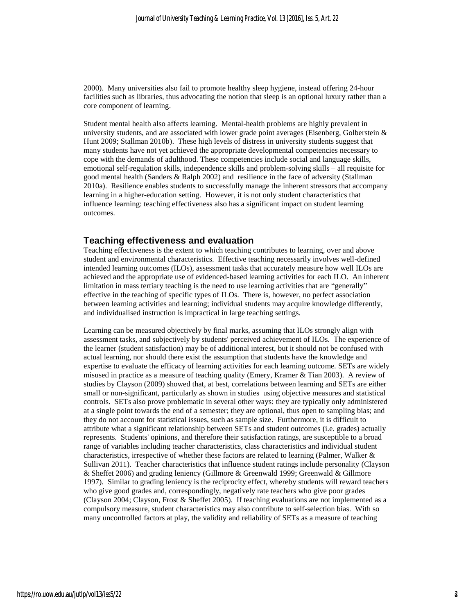[2000\)](#page-13-8). Many universities also fail to promote healthy sleep hygiene, instead offering 24-hour facilities such as libraries, thus advocating the notion that sleep is an optional luxury rather than a core component of learning.

Student mental health also affects learning. Mental-health problems are highly prevalent in university students, and are associated with lower grade point averages (Eisenberg, Golberstein  $\&$ [Hunt 2009;](#page-12-6) [Stallman 2010b\)](#page-13-6). These high levels of distress in university students suggest that many students have not yet achieved the appropriate developmental competencies necessary to cope with the demands of adulthood. These competencies include social and language skills, emotional self-regulation skills, independence skills and problem-solving skills – all requisite for good mental health [\(Sanders & Ralph 2002\)](#page-13-9) and resilience in the face of adversity [\(Stallman](#page-13-10)  [2010a\)](#page-13-10). Resilience enables students to successfully manage the inherent stressors that accompany learning in a higher-education setting. However, it is not only student characteristics that influence learning: teaching effectiveness also has a significant impact on student learning outcomes.

#### **Teaching effectiveness and evaluation**

Teaching effectiveness is the extent to which teaching contributes to learning, over and above student and environmental characteristics. Effective teaching necessarily involves well-defined intended learning outcomes (ILOs), assessment tasks that accurately measure how well ILOs are achieved and the appropriate use of evidenced-based learning activities for each ILO. An inherent limitation in mass tertiary teaching is the need to use learning activities that are "generally" effective in the teaching of specific types of ILOs. There is, however, no perfect association between learning activities and learning; individual students may acquire knowledge differently, and individualised instruction is impractical in large teaching settings.

Learning can be measured objectively by final marks, assuming that ILOs strongly align with assessment tasks, and subjectively by students' perceived achievement of ILOs. The experience of the learner (student satisfaction) may be of additional interest, but it should not be confused with actual learning, nor should there exist the assumption that students have the knowledge and expertise to evaluate the efficacy of learning activities for each learning outcome. SETs are widely misused in practice as a measure of teaching quality [\(Emery, Kramer & Tian 2003\)](#page-12-7). A review of studies by Clayson [\(2009\)](#page-12-8) showed that, at best, correlations between learning and SETs are either small or non-significant, particularly as shown in studies using objective measures and statistical controls. SETs also prove problematic in several other ways: they are typically only administered at a single point towards the end of a semester; they are optional, thus open to sampling bias; and they do not account for statistical issues, such as sample size. Furthermore, it is difficult to attribute what a significant relationship between SETs and student outcomes (i.e. grades) actually represents. Students' opinions, and therefore their satisfaction ratings, are susceptible to a broad range of variables including teacher characteristics, class characteristics and individual student characteristics, irrespective of whether these factors are related to learning [\(Palmer, Walker &](#page-13-11)  [Sullivan 2011\)](#page-13-11). Teacher characteristics that influence student ratings include personality [\(Clayson](#page-12-9)  [& Sheffet 2006\)](#page-12-9) and grading leniency [\(Gillmore & Greenwald 1999;](#page-12-10) [Greenwald & Gillmore](#page-12-11)  [1997\)](#page-12-11). Similar to grading leniency is the reciprocity effect, whereby students will reward teachers who give good grades and, correspondingly, negatively rate teachers who give poor grades [\(Clayson 2004;](#page-12-12) [Clayson, Frost & Sheffet 2005\)](#page-12-13). If teaching evaluations are not implemented as a compulsory measure, student characteristics may also contribute to self-selection bias. With so many uncontrolled factors at play, the validity and reliability of SETs as a measure of teaching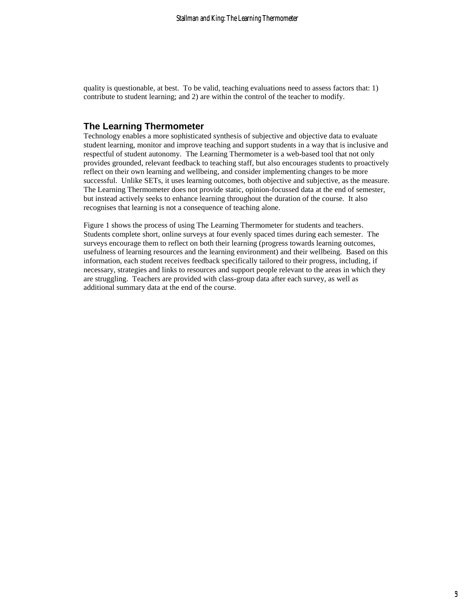quality is questionable, at best. To be valid, teaching evaluations need to assess factors that: 1) contribute to student learning; and 2) are within the control of the teacher to modify.

## **The Learning Thermometer**

Technology enables a more sophisticated synthesis of subjective and objective data to evaluate student learning, monitor and improve teaching and support students in a way that is inclusive and respectful of student autonomy. The Learning Thermometer is a web-based tool that not only provides grounded, relevant feedback to teaching staff, but also encourages students to proactively reflect on their own learning and wellbeing, and consider implementing changes to be more successful. Unlike SETs, it uses learning outcomes, both objective and subjective, as the measure. The Learning Thermometer does not provide static, opinion-focussed data at the end of semester, but instead actively seeks to enhance learning throughout the duration of the course. It also recognises that learning is not a consequence of teaching alone.

Figure 1 shows the process of using The Learning Thermometer for students and teachers. Students complete short, online surveys at four evenly spaced times during each semester. The surveys encourage them to reflect on both their learning (progress towards learning outcomes, usefulness of learning resources and the learning environment) and their wellbeing. Based on this information, each student receives feedback specifically tailored to their progress, including, if necessary, strategies and links to resources and support people relevant to the areas in which they are struggling. Teachers are provided with class-group data after each survey, as well as additional summary data at the end of the course.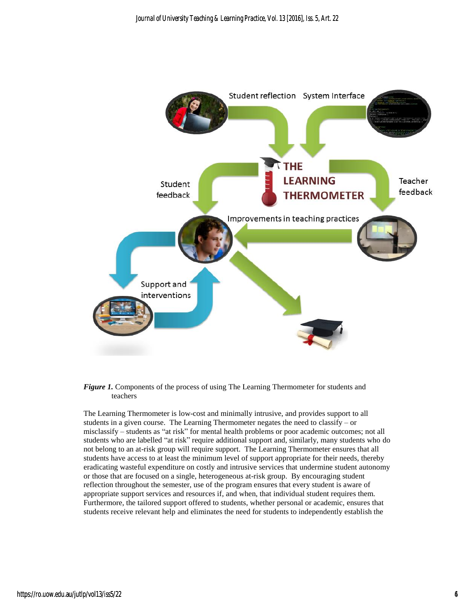

#### *Figure 1.* Components of the process of using The Learning Thermometer for students and teachers

The Learning Thermometer is low-cost and minimally intrusive, and provides support to all students in a given course. The Learning Thermometer negates the need to classify – or misclassify – students as "at risk" for mental health problems or poor academic outcomes; not all students who are labelled "at risk" require additional support and, similarly, many students who do not belong to an at-risk group will require support. The Learning Thermometer ensures that all students have access to at least the minimum level of support appropriate for their needs, thereby eradicating wasteful expenditure on costly and intrusive services that undermine student autonomy or those that are focused on a single, heterogeneous at-risk group. By encouraging student reflection throughout the semester, use of the program ensures that every student is aware of appropriate support services and resources if, and when, that individual student requires them. Furthermore, the tailored support offered to students, whether personal or academic, ensures that students receive relevant help and eliminates the need for students to independently establish the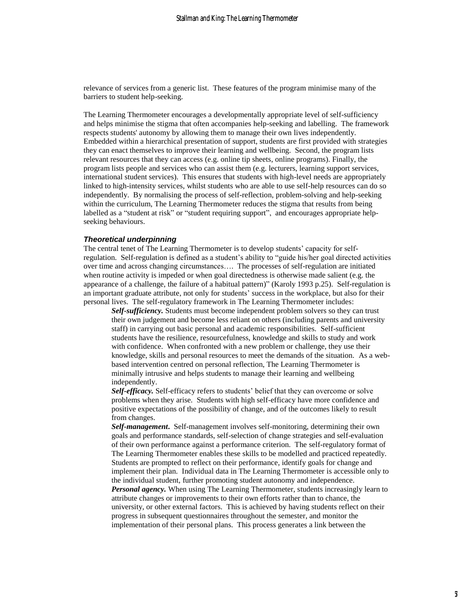relevance of services from a generic list. These features of the program minimise many of the barriers to student help-seeking.

The Learning Thermometer encourages a developmentally appropriate level of self-sufficiency and helps minimise the stigma that often accompanies help-seeking and labelling. The framework respects students' autonomy by allowing them to manage their own lives independently. Embedded within a hierarchical presentation of support, students are first provided with strategies they can enact themselves to improve their learning and wellbeing. Second, the program lists relevant resources that they can access (e.g. online tip sheets, online programs). Finally, the program lists people and services who can assist them (e.g. lecturers, learning support services, international student services). This ensures that students with high-level needs are appropriately linked to high-intensity services, whilst students who are able to use self-help resources can do so independently. By normalising the process of self-reflection, problem-solving and help-seeking within the curriculum, The Learning Thermometer reduces the stigma that results from being labelled as a "student at risk" or "student requiring support", and encourages appropriate helpseeking behaviours.

#### *Theoretical underpinning*

The central tenet of The Learning Thermometer is to develop students' capacity for selfregulation. Self-regulation is defined as a student's ability to "guide his/her goal directed activities over time and across changing circumstances…. The processes of self-regulation are initiated when routine activity is impeded or when goal directedness is otherwise made salient (e.g. the appearance of a challenge, the failure of a habitual pattern)" [\(Karoly 1993 p.25\)](#page-12-14). Self-regulation is an important graduate attribute, not only for students' success in the workplace, but also for their personal lives. The self-regulatory framework in The Learning Thermometer includes:

*Self-sufficiency.* Students must become independent problem solvers so they can trust their own judgement and become less reliant on others (including parents and university staff) in carrying out basic personal and academic responsibilities. Self-sufficient students have the resilience, resourcefulness, knowledge and skills to study and work with confidence. When confronted with a new problem or challenge, they use their knowledge, skills and personal resources to meet the demands of the situation. As a webbased intervention centred on personal reflection, The Learning Thermometer is minimally intrusive and helps students to manage their learning and wellbeing independently.

*Self-efficacy.* Self-efficacy refers to students' belief that they can overcome or solve problems when they arise. Students with high self-efficacy have more confidence and positive expectations of the possibility of change, and of the outcomes likely to result from changes.

*Self-management***.** Self-management involves self-monitoring, determining their own goals and performance standards, self-selection of change strategies and self-evaluation of their own performance against a performance criterion. The self-regulatory format of The Learning Thermometer enables these skills to be modelled and practiced repeatedly. Students are prompted to reflect on their performance, identify goals for change and implement their plan. Individual data in The Learning Thermometer is accessible only to the individual student, further promoting student autonomy and independence.

*Personal agency.* When using The Learning Thermometer, students increasingly learn to attribute changes or improvements to their own efforts rather than to chance, the university, or other external factors. This is achieved by having students reflect on their progress in subsequent questionnaires throughout the semester, and monitor the implementation of their personal plans. This process generates a link between the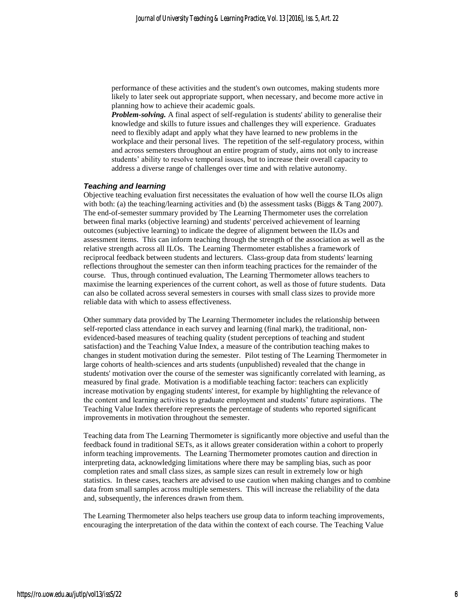performance of these activities and the student's own outcomes, making students more likely to later seek out appropriate support, when necessary, and become more active in planning how to achieve their academic goals.

*Problem-solving.* A final aspect of self-regulation is students' ability to generalise their knowledge and skills to future issues and challenges they will experience.Graduates need to flexibly adapt and apply what they have learned to new problems in the workplace and their personal lives.The repetition of the self-regulatory process, within and across semesters throughout an entire program of study, aims not only to increase students' ability to resolve temporal issues, but to increase their overall capacity to address a diverse range of challenges over time and with relative autonomy.

#### *Teaching and learning*

Objective teaching evaluation first necessitates the evaluation of how well the course ILOs align with both: (a) the teaching/learning activities and (b) the assessment tasks (Biggs  $&$  Tang 2007). The end-of-semester summary provided by The Learning Thermometer uses the correlation between final marks (objective learning) and students' perceived achievement of learning outcomes (subjective learning) to indicate the degree of alignment between the ILOs and assessment items. This can inform teaching through the strength of the association as well as the relative strength across all ILOs. The Learning Thermometer establishes a framework of reciprocal feedback between students and lecturers. Class-group data from students' learning reflections throughout the semester can then inform teaching practices for the remainder of the course. Thus, through continued evaluation, The Learning Thermometer allows teachers to maximise the learning experiences of the current cohort, as well as those of future students. Data can also be collated across several semesters in courses with small class sizes to provide more reliable data with which to assess effectiveness.

Other summary data provided by The Learning Thermometer includes the relationship between self-reported class attendance in each survey and learning (final mark), the traditional, nonevidenced-based measures of teaching quality (student perceptions of teaching and student satisfaction) and the Teaching Value Index, a measure of the contribution teaching makes to changes in student motivation during the semester. Pilot testing of The Learning Thermometer in large cohorts of health-sciences and arts students (unpublished) revealed that the change in students' motivation over the course of the semester was significantly correlated with learning, as measured by final grade. Motivation is a modifiable teaching factor: teachers can explicitly increase motivation by engaging students' interest, for example by highlighting the relevance of the content and learning activities to graduate employment and students' future aspirations. The Teaching Value Index therefore represents the percentage of students who reported significant improvements in motivation throughout the semester.

Teaching data from The Learning Thermometer is significantly more objective and useful than the feedback found in traditional SETs, as it allows greater consideration within a cohort to properly inform teaching improvements. The Learning Thermometer promotes caution and direction in interpreting data, acknowledging limitations where there may be sampling bias, such as poor completion rates and small class sizes, as sample sizes can result in extremely low or high statistics. In these cases, teachers are advised to use caution when making changes and to combine data from small samples across multiple semesters. This will increase the reliability of the data and, subsequently, the inferences drawn from them.

The Learning Thermometer also helps teachers use group data to inform teaching improvements, encouraging the interpretation of the data within the context of each course. The Teaching Value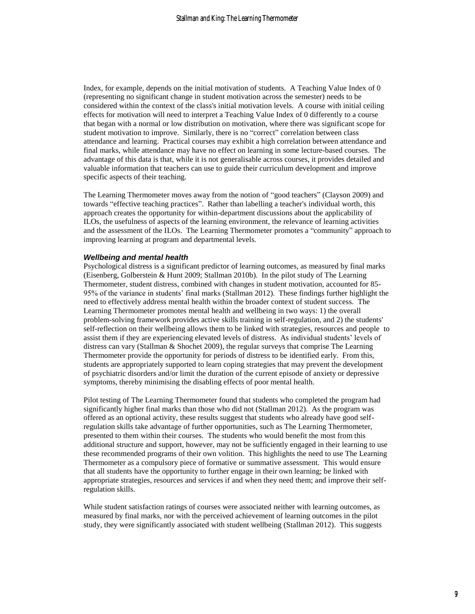Index, for example, depends on the initial motivation of students. A Teaching Value Index of 0 (representing no significant change in student motivation across the semester) needs to be considered within the context of the class's initial motivation levels. A course with initial ceiling effects for motivation will need to interpret a Teaching Value Index of 0 differently to a course that began with a normal or low distribution on motivation, where there was significant scope for student motivation to improve. Similarly, there is no "correct" correlation between class attendance and learning. Practical courses may exhibit a high correlation between attendance and final marks, while attendance may have no effect on learning in some lecture-based courses. The advantage of this data is that, while it is not generalisable across courses, it provides detailed and valuable information that teachers can use to guide their curriculum development and improve specific aspects of their teaching.

The Learning Thermometer moves away from the notion of "good teachers" [\(Clayson 2009\)](#page-12-8) and towards "effective teaching practices". Rather than labelling a teacher's individual worth, this approach creates the opportunity for within-department discussions about the applicability of ILOs, the usefulness of aspects of the learning environment, the relevance of learning activities and the assessment of the ILOs. The Learning Thermometer promotes a "community" approach to improving learning at program and departmental levels.

#### *Wellbeing and mental health*

Psychological distress is a significant predictor of learning outcomes, as measured by final marks [\(Eisenberg, Golberstein & Hunt 2009;](#page-12-6) [Stallman 2010b\)](#page-13-6). In the pilot study of The Learning Thermometer, student distress, combined with changes in student motivation, accounted for 85- 95% of the variance in students' final marks [\(Stallman 2012\)](#page-13-12). These findings further highlight the need to effectively address mental health within the broader context of student success. The Learning Thermometer promotes mental health and wellbeing in two ways: 1) the overall problem-solving framework provides active skills training in self-regulation, and 2) the students' self-reflection on their wellbeing allows them to be linked with strategies, resources and people to assist them if they are experiencing elevated levels of distress. As individual students' levels of distress can vary [\(Stallman & Shochet 2009\)](#page-13-13), the regular surveys that comprise The Learning Thermometer provide the opportunity for periods of distress to be identified early. From this, students are appropriately supported to learn coping strategies that may prevent the development of psychiatric disorders and/or limit the duration of the current episode of anxiety or depressive symptoms, thereby minimising the disabling effects of poor mental health.

Pilot testing of The Learning Thermometer found that students who completed the program had significantly higher final marks than those who did not [\(Stallman 2012\)](#page-13-12). As the program was offered as an optional activity, these results suggest that students who already have good selfregulation skills take advantage of further opportunities, such as The Learning Thermometer, presented to them within their courses. The students who would benefit the most from this additional structure and support, however, may not be sufficiently engaged in their learning to use these recommended programs of their own volition. This highlights the need to use The Learning Thermometer as a compulsory piece of formative or summative assessment. This would ensure that all students have the opportunity to further engage in their own learning; be linked with appropriate strategies, resources and services if and when they need them; and improve their selfregulation skills.

While student satisfaction ratings of courses were associated neither with learning outcomes, as measured by final marks, nor with the perceived achievement of learning outcomes in the pilot study, they were significantly associated with student wellbeing [\(Stallman 2012\)](#page-13-12). This suggests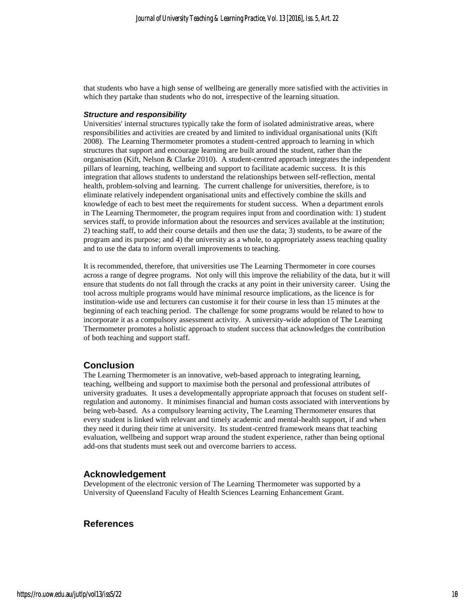that students who have a high sense of wellbeing are generally more satisfied with the activities in which they partake than students who do not, irrespective of the learning situation.

#### *Structure and responsibility*

Universities' internal structures typically take the form of isolated administrative areas, where responsibilities and activities are created by and limited to individual organisational units (Kift 2008). The Learning Thermometer promotes a student-centred approach to learning in which structures that support and encourage learning are built around the student, rather than the organisation [\(Kift, Nelson & Clarke 2010\)](#page-13-14). A student-centred approach integrates the independent pillars of learning, teaching, wellbeing and support to facilitate academic success. It is this integration that allows students to understand the relationships between self-reflection, mental health, problem-solving and learning. The current challenge for universities, therefore, is to eliminate relatively independent organisational units and effectively combine the skills and knowledge of each to best meet the requirements for student success. When a department enrols in The Learning Thermometer, the program requires input from and coordination with: 1) student services staff, to provide information about the resources and services available at the institution; 2) teaching staff, to add their course details and then use the data; 3) students, to be aware of the program and its purpose; and 4) the university as a whole, to appropriately assess teaching quality and to use the data to inform overall improvements to teaching.

It is recommended, therefore, that universities use The Learning Thermometer in core courses across a range of degree programs. Not only will this improve the reliability of the data, but it will ensure that students do not fall through the cracks at any point in their university career. Using the tool across multiple programs would have minimal resource implications, as the licence is for institution-wide use and lecturers can customise it for their course in less than 15 minutes at the beginning of each teaching period. The challenge for some programs would be related to how to incorporate it as a compulsory assessment activity. A university-wide adoption of The Learning Thermometer promotes a holistic approach to student success that acknowledges the contribution of both teaching and support staff.

#### **Conclusion**

The Learning Thermometer is an innovative, web-based approach to integrating learning, teaching, wellbeing and support to maximise both the personal and professional attributes of university graduates. It uses a developmentally appropriate approach that focuses on student selfregulation and autonomy. It minimises financial and human costs associated with interventions by being web-based. As a compulsory learning activity, The Learning Thermometer ensures that every student is linked with relevant and timely academic and mental-health support, if and when they need it during their time at university. Its student-centred framework means that teaching evaluation, wellbeing and support wrap around the student experience, rather than being optional add-ons that students must seek out and overcome barriers to access.

#### **Acknowledgement**

Development of the electronic version of The Learning Thermometer was supported by a University of Queensland Faculty of Health Sciences Learning Enhancement Grant.

#### **References**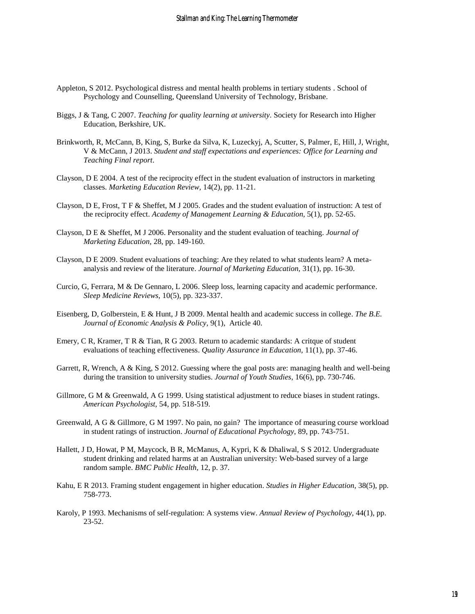- <span id="page-12-4"></span>Appleton, S 2012. Psychological distress and mental health problems in tertiary students . School of Psychology and Counselling, Queensland University of Technology, Brisbane.
- <span id="page-12-15"></span>Biggs, J & Tang, C 2007. *Teaching for quality learning at university*. Society for Research into Higher Education, Berkshire, UK.
- <span id="page-12-1"></span>Brinkworth, R, McCann, B, King, S, Burke da Silva, K, Luzeckyj, A, Scutter, S, Palmer, E, Hill, J, Wright, V & McCann, J 2013. *Student and staff expectations and experiences: Office for Learning and Teaching Final report*.
- <span id="page-12-12"></span>Clayson, D E 2004. A test of the reciprocity effect in the student evaluation of instructors in marketing classes. *Marketing Education Review,* 14(2), pp. 11-21.
- <span id="page-12-13"></span>Clayson, D E, Frost, T F & Sheffet, M J 2005. Grades and the student evaluation of instruction: A test of the reciprocity effect. *Academy of Management Learning & Education,* 5(1), pp. 52-65.
- <span id="page-12-9"></span>Clayson, D E & Sheffet, M J 2006. Personality and the student evaluation of teaching. *Journal of Marketing Education,* 28, pp. 149-160.
- <span id="page-12-8"></span>Clayson, D E 2009. Student evaluations of teaching: Are they related to what students learn? A metaanalysis and review of the literature. *Journal of Marketing Education,* 31(1), pp. 16-30.
- <span id="page-12-5"></span>Curcio, G, Ferrara, M & De Gennaro, L 2006. Sleep loss, learning capacity and academic performance. *Sleep Medicine Reviews,* 10(5), pp. 323-337.
- <span id="page-12-6"></span>Eisenberg, D, Golberstein, E & Hunt, J B 2009. Mental health and academic success in college. *The B.E. Journal of Economic Analysis & Policy,* 9(1), Article 40.
- <span id="page-12-7"></span>Emery, C R, Kramer, T R & Tian, R G 2003. Return to academic standards: A critque of student evaluations of teaching effectiveness. *Quality Assurance in Education,* 11(1), pp. 37-46.
- <span id="page-12-2"></span>Garrett, R, Wrench, A & King, S 2012. Guessing where the goal posts are: managing health and well-being during the transition to university studies. *Journal of Youth Studies,* 16(6), pp. 730-746.
- <span id="page-12-10"></span>Gillmore, G M & Greenwald, A G 1999. Using statistical adjustment to reduce biases in student ratings. *American Psychologist,* 54, pp. 518-519.
- <span id="page-12-11"></span>Greenwald, A G & Gillmore, G M 1997. No pain, no gain? The importance of measuring course workload in student ratings of instruction. *Journal of Educational Psychology,* 89, pp. 743-751.
- <span id="page-12-3"></span>Hallett, J D, Howat, P M, Maycock, B R, McManus, A, Kypri, K & Dhaliwal, S S 2012. Undergraduate student drinking and related harms at an Australian university: Web-based survey of a large random sample. *BMC Public Health,* 12, p. 37.
- <span id="page-12-0"></span>Kahu, E R 2013. Framing student engagement in higher education. *Studies in Higher Education,* 38(5), pp. 758-773.
- <span id="page-12-14"></span>Karoly, P 1993. Mechanisms of self-regulation: A systems view. *Annual Review of Psychology,* 44(1), pp. 23-52.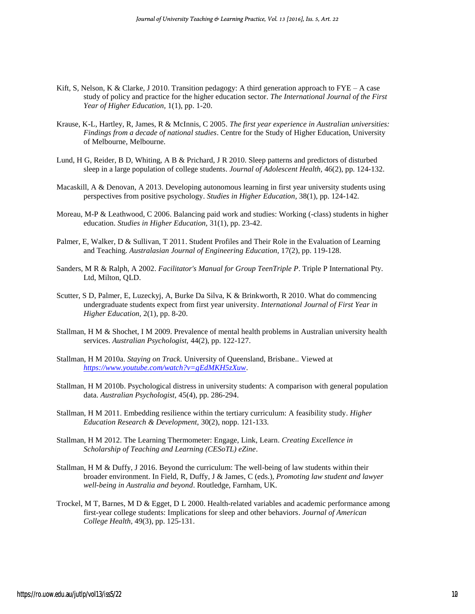- <span id="page-13-14"></span>Kift, S, Nelson, K & Clarke, J 2010. Transition pedagogy: A third generation approach to  $\text{FYE} - \text{A case}$ study of policy and practice for the higher education sector. *The International Journal of the First Year of Higher Education,* 1(1), pp. 1-20.
- <span id="page-13-4"></span>Krause, K-L, Hartley, R, James, R & McInnis, C 2005. *The first year experience in Australian universities: Findings from a decade of national studies*. Centre for the Study of Higher Education, University of Melbourne, Melbourne.
- <span id="page-13-7"></span>Lund, H G, Reider, B D, Whiting, A B & Prichard, J R 2010. Sleep patterns and predictors of disturbed sleep in a large population of college students. *Journal of Adolescent Health,* 46(2), pp. 124-132.
- <span id="page-13-2"></span>Macaskill, A & Denovan, A 2013. Developing autonomous learning in first year university students using perspectives from positive psychology. *Studies in Higher Education,* 38(1), pp. 124-142.
- <span id="page-13-5"></span>Moreau, M-P & Leathwood, C 2006. Balancing paid work and studies: Working (-class) students in higher education. *Studies in Higher Education,* 31(1), pp. 23-42.
- <span id="page-13-11"></span>Palmer, E, Walker, D & Sullivan, T 2011. Student Profiles and Their Role in the Evaluation of Learning and Teaching. *Australasian Journal of Engineering Education,* 17(2), pp. 119-128.
- <span id="page-13-9"></span>Sanders, M R & Ralph, A 2002. *Facilitator's Manual for Group TeenTriple P*. Triple P International Pty. Ltd, Milton, QLD.
- <span id="page-13-3"></span>Scutter, S D, Palmer, E, Luzeckyj, A, Burke Da Silva, K & Brinkworth, R 2010. What do commencing undergraduate students expect from first year university. *International Journal of First Year in Higher Education,* 2(1), pp. 8-20.
- <span id="page-13-13"></span>Stallman, H M & Shochet, I M 2009. Prevalence of mental health problems in Australian university health services. *Australian Psychologist,* 44(2), pp. 122-127.
- <span id="page-13-10"></span>Stallman, H M 2010a. *Staying on Track.* University of Queensland, Brisbane.*.* Viewed at *<https://www.youtube.com/watch?v=gEdMKH5zXuw>*.
- <span id="page-13-6"></span>Stallman, H M 2010b. Psychological distress in university students: A comparison with general population data. *Australian Psychologist,* 45(4), pp. 286-294.
- <span id="page-13-0"></span>Stallman, H M 2011. Embedding resilience within the tertiary curriculum: A feasibility study. *Higher Education Research & Development,* 30(2), nopp. 121-133.
- <span id="page-13-12"></span>Stallman, H M 2012. The Learning Thermometer: Engage, Link, Learn. *Creating Excellence in Scholarship of Teaching and Learning (CESoTL) eZine*.
- <span id="page-13-1"></span>Stallman, H M & Duffy, J 2016. Beyond the curriculum: The well-being of law students within their broader environment. In Field, R, Duffy, J & James, C (eds.), *Promoting law student and lawyer well-being in Australia and beyond*. Routledge, Farnham, UK.
- <span id="page-13-8"></span>Trockel, M T, Barnes, M D & Egget, D L 2000. Health-related variables and academic performance among first-year college students: Implications for sleep and other behaviors. *Journal of American College Health,* 49(3), pp. 125-131.